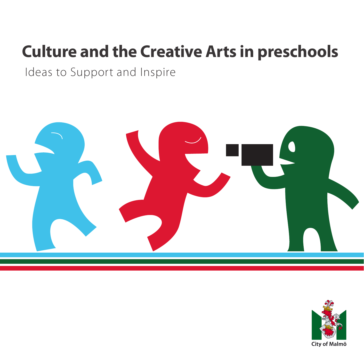# **Culture and the Creative Arts in preschools**

Ideas to Support and Inspire



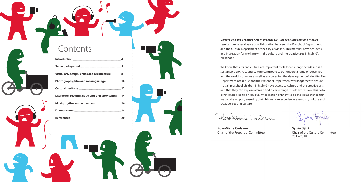## *Culture and the Creative Arts in preschools – Ideas to Support and Inspire* results from several years of collaboration between the Preschool Department and the Culture Department of the City of Malmö. This material provides ideas and inspiration for working with the culture and the creative arts in Malmö's

preschools.

We know that arts and culture are important tools for ensuring that Malmö is a sustainable city. Arts and culture contribute to our understanding of ourselves and the world around us as well as encouraging the development of identity. The Department of Culture and the Preschool Department work together to ensure that all preschool children in Malmö have access to culture and the creative arts, and that they can explore a broad and diverse range of self-expression. This collaboration has led to a high-quality collection of knowledge and competence that we can draw upon, ensuring that children can experience exemplary culture and creative arts and culture.

Co florio Cartern

**Sylvia Björk**  Chair of the Culture Committee 2015-2018

**Rose-Marie Carlsson** Chair of the Preschool Committee

Was topic

# Contents

| Visual art, design, crafts and architecture _______________________________ |  |
|-----------------------------------------------------------------------------|--|
|                                                                             |  |
|                                                                             |  |
| Literature, reading aloud and oral storytelling14                           |  |
| Music, rhythm and movement <b>Music</b> , rhythm and movement               |  |
|                                                                             |  |
| References 20                                                               |  |

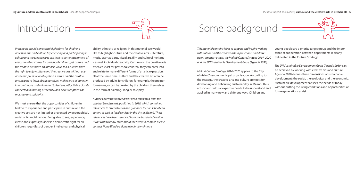*Preschools provide an essential platform for children's access to arts and culture. Experiencing and participating in culture and the creative arts can lead to better attainment of educational outcomes for preschool children; yet culture and the creative arts have an intrinsic value too. Children have the right to enjoy culture and the creative arts without any academic pressure or obligation. Culture and the creative arts help us to learn about ourselves, make sense of our own interpretations and values and to feel empathy. This is closely connected to forming of identity, and also strengthens democracy and solidarity.*

We must ensure that the opportunities of children in Malmö to experience and participate in culture and the creative arts are not limited or prevented by geographical, social or financial factors. Being able to see, experience, create and express yourself is a democratic right for all children, regardless of gender, intellectual and physical

ability, ethnicity or religion. In this material, we would like to highlight culture and the creative arts – literature, music, dramatic arts, visual art, film and cultural heritage – as well individual creativity. Culture and the creative arts often co-exist for preschool children; they can enter into and relate to many different forms of artistic expression, all at the same time. Culture and the creative arts can be produced by adults for children, for example, theatre performances, or can be created by the children themselves in the form of painting, song or role play.

*Author's note: this material has been translated from the original Swedish text, published in 2018, which contained references to Swedish laws and guidance for pre-school education, as well as local services in the city of Malmö. These references have been removed from the translated version. If you wish to know more about the Swedish context, please contact Fiona Winders, fiona.winders@malmo.se* 

*This material contains ideas to support and inspire working with culture and the creative arts in preschools and draws upon, amongst others, the Malmö Culture Strategy 2014–2020 and the UN Sustainable Development Goals (Agenda 2030).* young people are a priority target group and the importance of cooperation between departments is clearly delineated in the Culture Strategy.

*Malmö Culture Strategy 2014–2020* applies to the City of Malmö's entire municipal organisation. According to the strategy, the creative arts and culture are tools for developing and enhancing sustainability in Malmö. Thus artistic and cultural expertise needs to be understood and applied in many new and different ways. Children and

Ideas to support and inspire | Culture and the creative arts in preschools | 5



*The UN Sustainable Development Goals (Agenda 2030)* can be achieved by working with creative arts and culture. Agenda 2030 defines three dimensions of sustainable development: the social, the ecological and the economic. Sustainable development satisfies the needs of today without putting the living conditions and opportunities of future generations at risk.

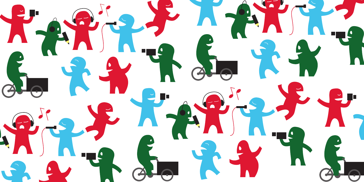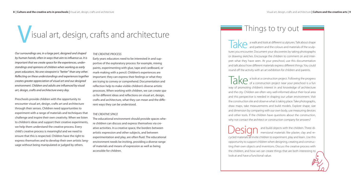# Visual art, design, crafts and architecture

## *THE CREATIVE PROCESS*

Early years educators need to be interested in and supportive of the exploratory process: for example, mixing paints, experimenting with glue, tape and cardboard, or mark-making with a pencil. Children's experiences are important: they can express their feelings or what they are trying to convey or comprehend. Documentation and reflection help to make visible children's diverse artistic processes. When working with children, we can create space for different ideas and reflections on visual art, design, crafts and architecture, what they can mean and the different ways they can be understood.

## *THE CREATIVE SPACE*

The educational environment should provide spaces where children can discuss and express themselves via creative activities. In a creative space, the borders between artistic expression and other subjects, and between experimentation and play, are often fluid. The educational environment needs be inviting, providing a diverse range of materials and means of expression as well as being accessible for children.

 $\equiv$  Things to try out  $\equiv$ 

*Our surroundings are, in a large part, designed and shaped by human hands; often in ways that aim to influence us. It is important that we create space for the experiences, understandings and opinions of children when working as early years educators. No one viewpoint is "better" than any other. Reflecting on these understandings and experiences together creates greater appreciation of visual art and our designed environment. Children and adults are influenced by visual art, design, crafts and architecture every day.*

Take a walk and look at different sculptures. Talk about shape<br>and pattern and the colours and materials of the sculptures you encounter. Document your discoveries by taking photographs or drawing sketches. Encourage the children to comment on and interpret what they have seen. At your preschool, use this documentation and talk about how different materials express different things. You could round off the activity with an art exhibition for children and parents.

Take a look at a construction project. Following the progress of a construction project near your preschool is a fun way of promoting children's interest in and knowledge of architecture and the city. Children are often very well-informed about their local area and this perspective is needed in shaping our urban environment. Visit the construction site and observe what is taking place. Take photographs, draw maps, take measurements and build models. Explore shape, size and dimension by comparing with our own body, use measuring devices and other tools. If the children have questions about the construction, why not contact the architect or construction company for answers?

Design and build objects with the children. Three-di-<br>mensional materials like plaster, clay and recycled materials all invite children to experiment, play and learn. Use this opportunity to support children when designing, creating and constructing their own objects and inventions. Discuss the creative process with the children, and how we can create things that are both interesting to look at and have a functional value.

Preschools provide children with the opportunity to encounter visual art, design, crafts art and architecture through their senses. Children need opportunities to experiment with a range of materials and techniques that challenge and inspire their own creativity. When we listen to children's ideas and support their creative experiments, we help them understand the creative process. Every child's creative process is meaningful and we need to ensure that this is respected. Children have the right to express themselves and to develop their own artistic language without being manipulated or judged by others.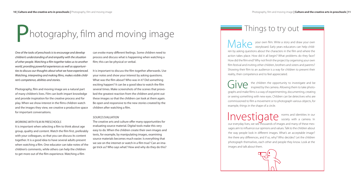# Photography, film and moving image

*One of the tasks of preschools is to encourage and develop children's understanding of and empathy with the situation of other people. Watching a film together takes us to another world, providing powerful experiences as well as opportunities to discuss our thoughts about what we have experienced. Watching, interpreting and making films, makes visible children's competence, abilities and stories.*

Photography, film and moving image are a natural part of many children's lives. Film can both impart knowledge and provide inspiration for the creative process and for play. When we show interest in the films children watch and the images they view, we creative a productive space for important conversations.

## *WORKING WITH FILM IN PRESCHOOLS*

It is important when selecting a film to think about age group, quality and content. Watch the film first, preferably with your colleagues, so that you can discuss its content together. It is a good idea to have several adults present when watching a film. One educator can take notes of the children's comments, while others can help the children to get more out of the film experience. Watching a film

can evoke many different feelings. Some children need to process and discuss what is happening when watching a film; this can be physical or verbal.

> Give the children the opportunity to investigate and be inspired by the camera. Allowing them to take photographs and make films is a way of experimenting, documenting, creating or seeing something with new eyes. Children can be detectives who are commissioned to film a movement or to photograph various objects, for example, things in the shape of a circle.

It is important to discuss the film together afterwards. Use your notes and show your interest by asking questions. What was the film about? Who was in it? Did something exciting happen? It can be a good idea to watch the film several times. Make screenshots of the scenes that provoked the greatest reaction from the children and print out these images so that the children can look at them again. Be open and responsive to the new stories created by the children after watching a film.

Make <sup>your own film. Write a story and draw your own storyboard. Early years educators can help child-</sup> ren by asking questions about the characters in the film and where the action takes place. How did it all begin? What problems do they face? How did the film end? Why not finish the project by organising your own film festival and inviting other children, brothers and sisters and parents? Showing their film to an audience is a way for children to present their reality, their competence and to feel appreciated.

Investigate norms and identities in our our everyday lives, we see thousands of images and many of these messages aim to influence our opinions and values. Talk to the children about the way people look in different images. What's an acceptable image? Are there any differences, and if so, why? Who decides? Let the children photograph themselves, each other and people they know. Look at the images and talk about them.



## *SOURCE EVALUATION*

The creative arts and culture offer many opportunities for evaluating source material. Digital tools make this very easy to do. When the children create their own images and texts, for example, by manipulating images, examining source materials becomes much easier. Is everything that we see on the internet or watch in a film true? Can an image trick us? Who says what? How and why do they do this?

# $\equiv$  Things to try out  $\equiv$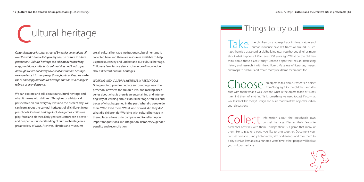# Cultural heritage

*Cultural heritage is culture created by earlier generations all over the world. People living today pass on culture to future generations. Cultural heritage can take many forms: language, traditions, crafts, texts, cultural sites and landscapes. Although we are not always aware of our cultural heritage, we experience it in many ways throughout our lives. We make use of and apply our cultural heritage and can also change it, refine it or even destroy it.* 

We can explore and talk about our cultural heritage and what it means with children. This gives us a historical perspective on our everyday lives and the present day. We can learn about the cultural heritages of all children in our preschools. Cultural heritage includes games, children's play, food and clothes. Early years educators can discover and deepen our understanding of cultural heritage in a great variety of ways. Archives, libraries and museums

are all cultural heritage institutions; cultural heritage is collected here and there are resources available to help us process, convey and understand our cultural heritage. Children's families are also a rich source of knowledge about different cultural heritages.

> Collect information about the preschool's own preschool activities with them. Perhaps there is a game that many of them like to play or a song you like to sing together. Document your cultural heritage using photographs, film or drawings and give them to a city archive. Perhaps in a hundred years' time, other people will look at your cultural heritage.

> Take the children on a voyage back in time. Nature and human influence have left traces all around us. Perhaps there is a graveyard or old building near you that could tell us more about what happened 50 or even 500 years ago? What do the children think about these places today? Choose a spot that has an interesting history and research it with the children. Make use of literature, images and maps to find out and create more; use drama techniques too.

*WORKING WITH CULTURAL HERITAGE IN PRESCHOOLS* Going out into your immediate surroundings, near the preschool or where the children live, and making discoveries about what is there is an entertaining and interesting way of learning about cultural heritage. You will find traces of what happened in the past. What did people do there? Who lived there? What kind of work did they do? What did children do? Working with cultural heritage in these places allows us to compare and to reflect upon important questions like integration, democracy, gender equality and reconciliation.

# $\equiv$  Things to try out  $\equiv$

Choose an object to talk about. Present an object of  $C$ cuss with them what it was used for. What is the object made of? Does it remind them of anything? Is it something we need today? If so, what would it look like today? Design and build models of the object based on your discussions.

Cultural heritage **| Culture and the creative arts in preschools |**

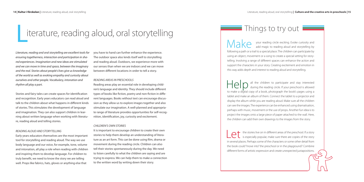*Literature, reading and oral storytelling are excellent tools for ensuring togetherness, interaction and participation in shared experiences. Imagination and new ideas are stimulated and we can move in time and space, between the imaginary and the real. Stories about people's lives give us knowledge of the world as well as evoking empathy and curiosity about ourselves and other people. Vocabulary, intonation and rhythm all play a part.*

Stories and fairy tales can create spaces for identification and recognition. Early years educators can read aloud and talk to the children about what happens in different kinds of stories. This stimulates the development of language and imagination. They can also support children in learning about written language when working with literature, reading aloud and telling stories.

## *READING ALOUD AND STORYTELLING*

Early years educators themselves are the most important tool for storytelling and reading aloud. The way we use body language and our voice, for example, tone, volume and intonation, all play a role when reading with children and inspiring them to develop language. For children to truly benefit, we need to know the story we are telling well. Props like fabrics, hats, gloves or anything else that

you have to hand can further enhance the experience. The outdoor space also lends itself well to storytelling and reading aloud. Outdoors, we experience more with our senses than when we are indoors and we can move between different locations in order to tell a story.

## *READING AREAS IN PRESCHOOLS*

Make your reading circle exciting. Evoke curiosity and add magic to reading aloud and storytelling by following a path or a trail to a special place. The children can participate by using an object, movement or a song to create a special setting for storytelling. Involving a range of different spaces can enhance the action and support the characters in your story. Creating excitement and emotion in this way adds depth and interest to reading aloud and storytelling.

Reading areas play an essential role in developing children's language and identity. They should include different types of books like fiction, poetry and non-fiction in different languages. Books without text can encourage discussion as they allow us to explore images together and also stimulate our imagination. A well-planned and appropriate range of literature provides opportunities for self-recognition, identification, joy, curiosity and excitement.

Help all the children to participate and stay interested during the reading circle. If your preschool is allowed to make a digital copy of a book, photograph the book's pages using a tablet and make an album of them. Connect the tablet to a projector and display the album while you are reading aloud. Make sure all the children can see the images. The experience can be enhanced using dramatisation, perhaps with music, movement or the use of props. Another fun idea is to project the images onto a large piece of paper attached to the wall. Here, the children can add their own drawings to the images from the story.

## *CHILDREN'S OWN STORIES*

Let the stories live on in different areas of the preschool. If a story is especially popular, make sure there are copies of the story in several places. Perhaps some of the characters or some other detail from the book could "move into" the preschool or in the playground? Combine different forms of artistic expression and create unexpected juxtapositions.

It is important to encourage children to create their own stories to help them develop an understanding of literature as an art form. This can be done using film, drama or movement during the reading circle. Children can also tell their stories spontaneously during the day. We need to listen carefully to what the children are saying and are trying to express. We can help them to make a connection to the written word by writing down their story.

## Things to try out  $\equiv$

# iterature, reading aloud, oral storytelling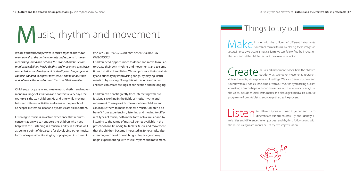*We are born with competence in music, rhythm and movement as well as the desire to imitate and respond to movement using sound and actions; this is one of our basic communicative abilities. Music, rhythm and movement are closely connected to the development of identity and language and can help children to express themselves, and to understand and influence the world around them and their own lives.*

Children participate in and create music, rhythm and movement in a range of situations and contexts every day. One example is the way children skip and sing while moving between different activities and areas in the preschool. Concepts like tempo, beat and dynamics are all important.

Listening to music is an active experience that requires concentration; we can support the children who need help with this. Listening is a musical ability in itself as well as being a point of departure for developing other musical forms of expression like singing or playing an instrument.

*WORKING WITH MUSIC, RHYTHM AND MOVEMENT IN PRESCHOOLS*

Make images with the children of different instruments, Sy placing these images in a certain order, we create a musical form we can follow. Put the images on the floor and let the children act out the role of conductor.

Children need opportunities to dance and move to music, to create their own rhythms and movements and to sometimes just sit still and listen. We can promote their creativity and curiosity by improvising songs, by playing instruments or by moving. Doing this with adults and other children can create feelings of connection and belonging.

Create music and movement stories; here the children decide what sounds or movements represent different events, atmospheres and feelings. We can create rhythms and sounds with our bodies: for example, with our mouths by smacking our lips or making a drum-shape with our cheeks. Test out the tone and strength of the voice. Include musical instruments and also digital media like a music programme from a tablet to encourage the creative process.

Listen types of music together and try to differentiate various sounds. Try and identify similarities and differences in tempo, beat and rhythm. Follow along with the music using instruments or just try free improvisation.



Children can benefit greatly from interacting with professionals working in the fields of music, rhythm and movement. These provide role models for children and can inspire them to make their own music. Children also benefit from experiencing, listening and moving to different types of music, both in the form of live music and by listening to the range of musical genres available in the preschool on CDs or digital tablets. Music and movement that the children become interested in, for example, after attending a concert or watching a film, is a good way to begin experimenting with music, rhythm and movement.  $\equiv$  Things to try out  $\equiv$ 

# Music, rhythm and movement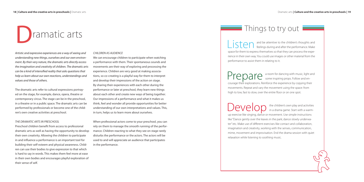*Artistic and expressive experiences are a way of seeing and understanding new things, ourselves and our own environment. By their very nature, the dramatic arts directly access the imagination and creativity of children. The dramatic arts can be a kind of intensified reality that asks questions that help us learn about our own reactions, understandings and values and those of others.*

The dramatic arts refer to cultural expressions portrayed on the stage, for example, dance, opera, theatre or contemporary circus. The stage can be in the preschool, in a theatre or in a public space. The dramatic arts can be performed by professionals or become one of the children's own creative activities at preschool.

## *THE DRAMATIC ARTS IN PRESCHOOL*

Preschool children benefit from access to professional dramatic arts as well as having the opportunity to develop their own creativity. Allowing the children to participate in and influence a performance is an important tool for building their self-esteem and physical awareness. Children can use their bodies to give expression to that which is hard to say in words. This makes them feel more at ease in their own bodies and encourages playful exploration of their sense of self.

### *CHILDREN AS AUDIENCE*

Listen and be attentive to the children's thoughts and feelings during and after the performance. Make space for them to express themselves so that they can process the experience in their own way. You could use images or other material from the performance to assist them in relating to it.

Prepare a room for dancing with music, light and some inspiring props. Follow and encourage their explorations. Reinforce the experience by copying their movements. Repeat and vary the movement using the space: from high to low, fast to slow, over the entire floor or on one spot.

We can encourage children to participate when watching a performance with them. Their spontaneous sounds and movements are their way of exploring and processing the experience. Children are very good at making associations, so co-creating is a playful way for them to interpret and develop their impressions of the action on stage. By sharing their experiences with each other during the performance or later at preschool, they learn new things about each other and create new ways of being together. Our impressions of a performance and what it makes us think, feel and wonder all provide opportunities for better understanding of our own interpretations and values. This, in turn, helps us to learn more about ourselves.

Develop the children's own play and activities in a drama game. Start with a warmup exercise like singing, dance or movement. Use simple instructions like "Dance gently over the leaves in the park; dance slowly underwater" etc. Make use of different exercises like contact and collaboration, imagination and creativity, working with the senses, communication, mime, movement and improvisation. End the drama session with quiet relaxation while listening to soothing music.

When professional actors come to your preschool, you can rely on them to manage the smooth running of the performance. Children reacting to what they see on stage rarely disturbs the performance or the actors. The actors will be used to and will appreciate an audience that participates in the performance.

# $\equiv$  Things to try out  $\equiv$

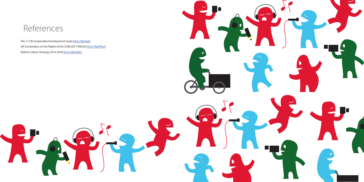# References

The 17 UN Sustainable Development Goals [bit.ly/38LRsp6](http://bit.ly/38LRsp6) UN Convention on the Rights of the Child (SÖ 1990:20) [bit.ly/2EpWKsA](http://bit.ly/2EpWKsA) Malmö Culture Strategy 2014-2020 [bit.ly/38LRg9m](http://bit.ly/38LRg9m)